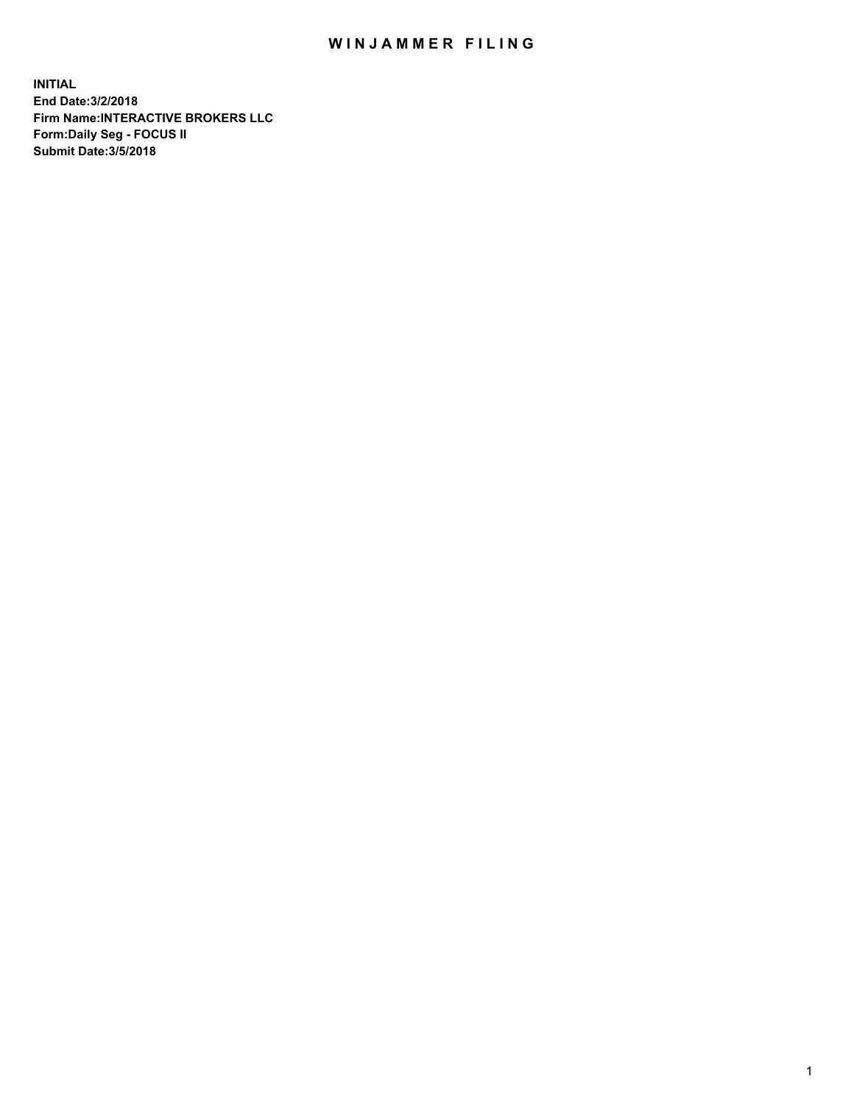## WIN JAMMER FILING

**INITIAL End Date:3/2/2018 Firm Name:INTERACTIVE BROKERS LLC Form:Daily Seg - FOCUS II Submit Date:3/5/2018**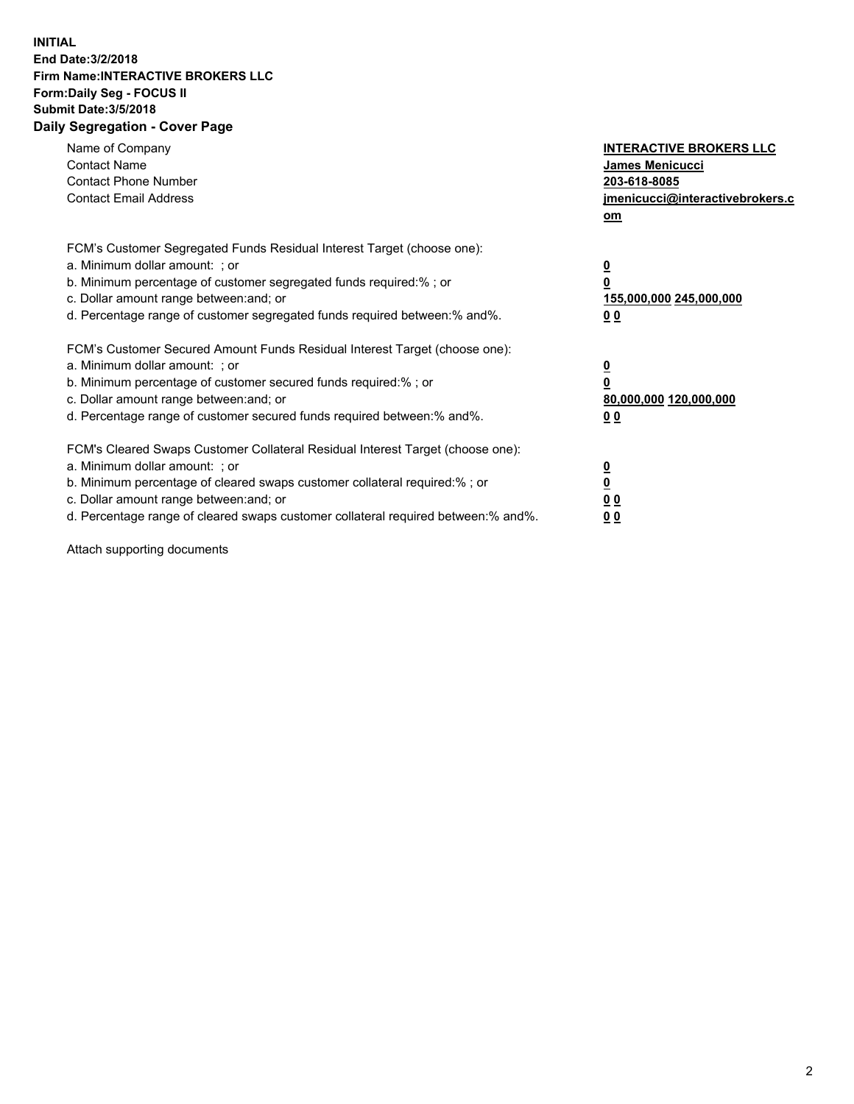## **INITIAL End Date:3/2/2018 Firm Name:INTERACTIVE BROKERS LLC Form:Daily Seg - FOCUS II Submit Date:3/5/2018 Daily Segregation - Cover Page**

| Name of Company<br><b>Contact Name</b><br><b>Contact Phone Number</b><br><b>Contact Email Address</b>                                                                                                                                                                                                                          | <b>INTERACTIVE BROKERS LLC</b><br>James Menicucci<br>203-618-8085<br>jmenicucci@interactivebrokers.c<br>om |
|--------------------------------------------------------------------------------------------------------------------------------------------------------------------------------------------------------------------------------------------------------------------------------------------------------------------------------|------------------------------------------------------------------------------------------------------------|
| FCM's Customer Segregated Funds Residual Interest Target (choose one):<br>a. Minimum dollar amount: ; or<br>b. Minimum percentage of customer segregated funds required:%; or<br>c. Dollar amount range between: and; or<br>d. Percentage range of customer segregated funds required between:% and%.                          | $\overline{\mathbf{0}}$<br>$\overline{\mathbf{0}}$<br>155,000,000 245,000,000<br>00                        |
| FCM's Customer Secured Amount Funds Residual Interest Target (choose one):<br>a. Minimum dollar amount: ; or<br>b. Minimum percentage of customer secured funds required:%; or<br>c. Dollar amount range between: and; or<br>d. Percentage range of customer secured funds required between: % and %.                          | $\overline{\mathbf{0}}$<br>0<br>80,000,000 120,000,000<br>00                                               |
| FCM's Cleared Swaps Customer Collateral Residual Interest Target (choose one):<br>a. Minimum dollar amount: ; or<br>b. Minimum percentage of cleared swaps customer collateral required:% ; or<br>c. Dollar amount range between: and; or<br>d. Percentage range of cleared swaps customer collateral required between:% and%. | $\overline{\mathbf{0}}$<br>$\underline{\mathbf{0}}$<br>0 <sub>0</sub><br>0 <sub>0</sub>                    |

Attach supporting documents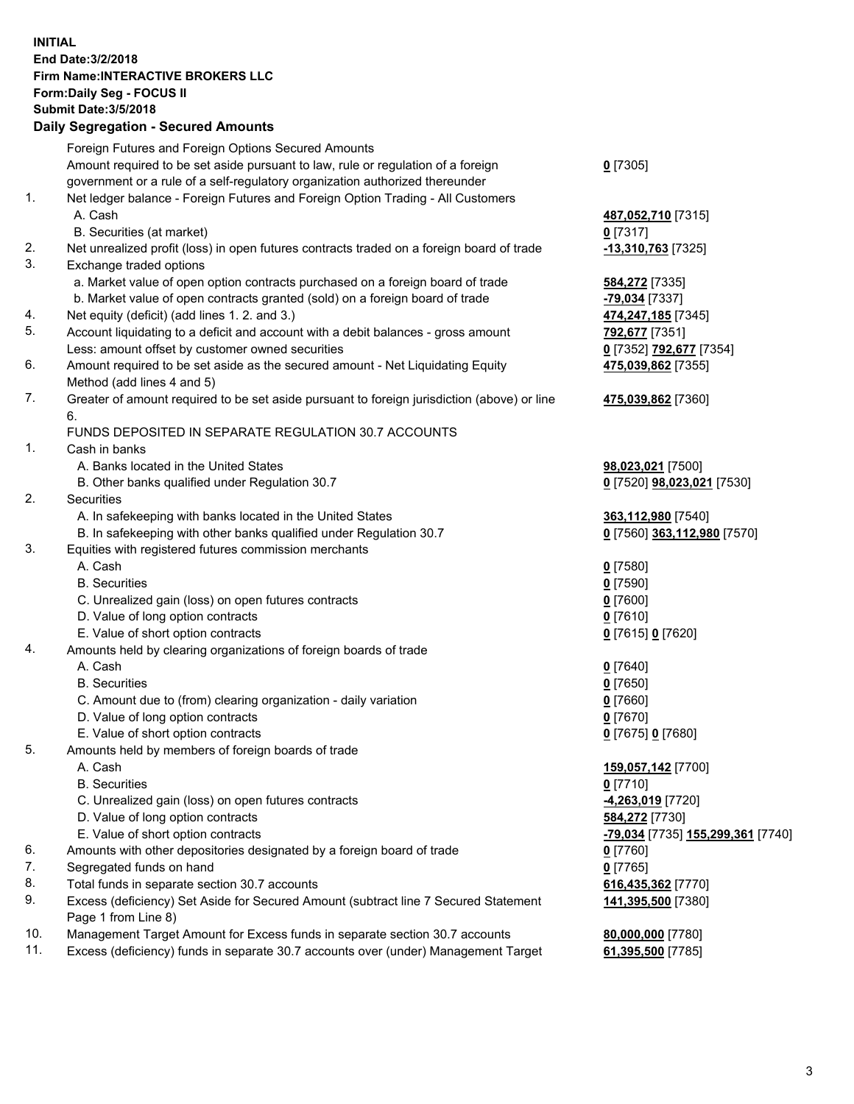## **INITIAL End Date:3/2/2018 Firm Name:INTERACTIVE BROKERS LLC Form:Daily Seg - FOCUS II Submit Date:3/5/2018 Daily Segregation - Secured Amounts**

|     | Foreign Futures and Foreign Options Secured Amounts                                         |                                   |
|-----|---------------------------------------------------------------------------------------------|-----------------------------------|
|     | Amount required to be set aside pursuant to law, rule or regulation of a foreign            | $0$ [7305]                        |
|     | government or a rule of a self-regulatory organization authorized thereunder                |                                   |
| 1.  | Net ledger balance - Foreign Futures and Foreign Option Trading - All Customers             |                                   |
|     | A. Cash                                                                                     | 487,052,710 [7315]                |
|     | B. Securities (at market)                                                                   | $0$ [7317]                        |
| 2.  | Net unrealized profit (loss) in open futures contracts traded on a foreign board of trade   | -13,310,763 <sup>[7325]</sup>     |
| 3.  | Exchange traded options                                                                     |                                   |
|     | a. Market value of open option contracts purchased on a foreign board of trade              | 584,272 [7335]                    |
|     | b. Market value of open contracts granted (sold) on a foreign board of trade                | -79,034 [7337]                    |
| 4.  | Net equity (deficit) (add lines 1. 2. and 3.)                                               | 474,247,185 [7345]                |
| 5.  | Account liquidating to a deficit and account with a debit balances - gross amount           |                                   |
|     |                                                                                             | 792,677 [7351]                    |
|     | Less: amount offset by customer owned securities                                            | 0 [7352] 792,677 [7354]           |
| 6.  | Amount required to be set aside as the secured amount - Net Liquidating Equity              | 475,039,862 [7355]                |
|     | Method (add lines 4 and 5)                                                                  |                                   |
| 7.  | Greater of amount required to be set aside pursuant to foreign jurisdiction (above) or line | 475,039,862 [7360]                |
|     | 6.                                                                                          |                                   |
|     | FUNDS DEPOSITED IN SEPARATE REGULATION 30.7 ACCOUNTS                                        |                                   |
| 1.  | Cash in banks                                                                               |                                   |
|     | A. Banks located in the United States                                                       | 98,023,021 [7500]                 |
|     | B. Other banks qualified under Regulation 30.7                                              | 0 [7520] 98,023,021 [7530]        |
| 2.  | Securities                                                                                  |                                   |
|     | A. In safekeeping with banks located in the United States                                   | 363,112,980 [7540]                |
|     | B. In safekeeping with other banks qualified under Regulation 30.7                          | 0 [7560] 363,112,980 [7570]       |
| 3.  | Equities with registered futures commission merchants                                       |                                   |
|     | A. Cash                                                                                     | $0$ [7580]                        |
|     | <b>B.</b> Securities                                                                        | $0$ [7590]                        |
|     | C. Unrealized gain (loss) on open futures contracts                                         | $0$ [7600]                        |
|     | D. Value of long option contracts                                                           | $0$ [7610]                        |
|     | E. Value of short option contracts                                                          | 0 [7615] 0 [7620]                 |
| 4.  | Amounts held by clearing organizations of foreign boards of trade                           |                                   |
|     | A. Cash                                                                                     | $0$ [7640]                        |
|     | <b>B.</b> Securities                                                                        | $0$ [7650]                        |
|     | C. Amount due to (from) clearing organization - daily variation                             | $0$ [7660]                        |
|     | D. Value of long option contracts                                                           | $0$ [7670]                        |
|     | E. Value of short option contracts                                                          | 0 [7675] 0 [7680]                 |
| 5.  | Amounts held by members of foreign boards of trade                                          |                                   |
|     | A. Cash                                                                                     | 159,057,142 [7700]                |
|     | <b>B.</b> Securities                                                                        | $0$ [7710]                        |
|     | C. Unrealized gain (loss) on open futures contracts                                         | -4,263,019 [7720]                 |
|     | D. Value of long option contracts                                                           | 584,272 [7730]                    |
|     | E. Value of short option contracts                                                          | -79,034 [7735] 155,299,361 [7740] |
| 6.  | Amounts with other depositories designated by a foreign board of trade                      | $0$ [7760]                        |
| 7.  | Segregated funds on hand                                                                    | $0$ [7765]                        |
| 8.  | Total funds in separate section 30.7 accounts                                               |                                   |
|     |                                                                                             | 616,435,362 [7770]                |
| 9.  | Excess (deficiency) Set Aside for Secured Amount (subtract line 7 Secured Statement         | 141,395,500 [7380]                |
|     | Page 1 from Line 8)                                                                         |                                   |
| 10. | Management Target Amount for Excess funds in separate section 30.7 accounts                 | 80,000,000 [7780]                 |
| 11. | Excess (deficiency) funds in separate 30.7 accounts over (under) Management Target          | 61,395,500 [7785]                 |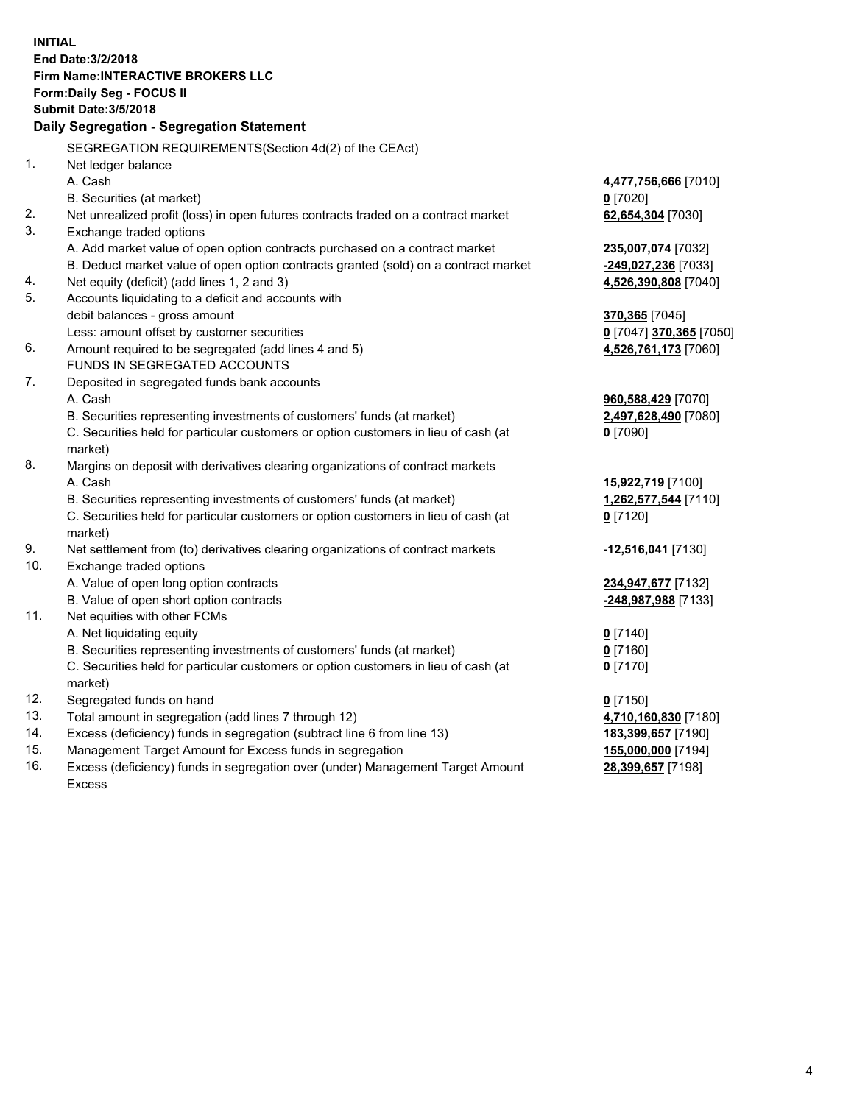**INITIAL End Date:3/2/2018 Firm Name:INTERACTIVE BROKERS LLC Form:Daily Seg - FOCUS II Submit Date:3/5/2018 Daily Segregation - Segregation Statement** SEGREGATION REQUIREMENTS(Section 4d(2) of the CEAct) 1. Net ledger balance A. Cash **4,477,756,666** [7010] B. Securities (at market) **0** [7020] 2. Net unrealized profit (loss) in open futures contracts traded on a contract market **62,654,304** [7030] 3. Exchange traded options A. Add market value of open option contracts purchased on a contract market **235,007,074** [7032] B. Deduct market value of open option contracts granted (sold) on a contract market **-249,027,236** [7033] 4. Net equity (deficit) (add lines 1, 2 and 3) **4,526,390,808** [7040] 5. Accounts liquidating to a deficit and accounts with debit balances - gross amount **370,365** [7045] Less: amount offset by customer securities **0** [7047] **370,365** [7050] 6. Amount required to be segregated (add lines 4 and 5) **4,526,761,173** [7060] FUNDS IN SEGREGATED ACCOUNTS 7. Deposited in segregated funds bank accounts A. Cash **960,588,429** [7070] B. Securities representing investments of customers' funds (at market) **2,497,628,490** [7080] C. Securities held for particular customers or option customers in lieu of cash (at market) **0** [7090] 8. Margins on deposit with derivatives clearing organizations of contract markets A. Cash **15,922,719** [7100] B. Securities representing investments of customers' funds (at market) **1,262,577,544** [7110] C. Securities held for particular customers or option customers in lieu of cash (at market) **0** [7120] 9. Net settlement from (to) derivatives clearing organizations of contract markets **-12,516,041** [7130] 10. Exchange traded options A. Value of open long option contracts **234,947,677** [7132] B. Value of open short option contracts **-248,987,988** [7133] 11. Net equities with other FCMs A. Net liquidating equity **0** [7140] B. Securities representing investments of customers' funds (at market) **0** [7160] C. Securities held for particular customers or option customers in lieu of cash (at market) **0** [7170] 12. Segregated funds on hand **0** [7150] 13. Total amount in segregation (add lines 7 through 12) **4,710,160,830** [7180] 14. Excess (deficiency) funds in segregation (subtract line 6 from line 13) **183,399,657** [7190] 15. Management Target Amount for Excess funds in segregation **155,000,000** [7194]

16. Excess (deficiency) funds in segregation over (under) Management Target Amount Excess

**28,399,657** [7198]